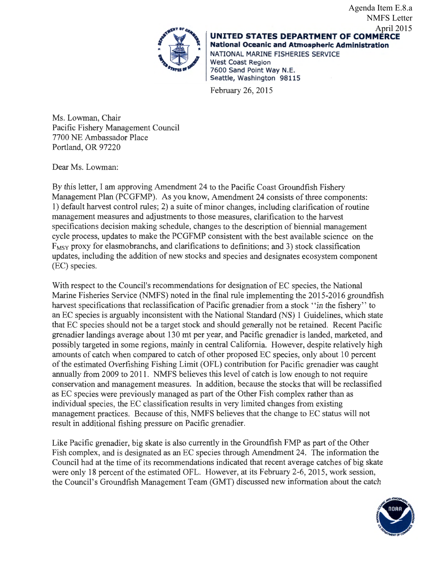

**UNITED STATES DEPARTMENT OF COMMERCE**  UNITED STATES DEPARTMENT OF COMMER National Oceanic and Atmospheric Administration NATIONAL MARINE FISHERIES SERVICE West Coast Region 7600 Sand Point Way N.E.<br>Seattle, Washington 98115 NMFS Letter April 2015

Agenda Item E.8.a

February 26, 2015

Ms. Lowman, Chair Pacific Fishery Management Council 7700 NE Ambassador Place Portland, OR 97220

Dear Ms. Lowman:

By this letter, I am approving Amendment 24 to the Pacific Coast Groundfish Fishery Management Plan (PCGFMP). As you know, Amendment 24 consists of three components: 1) default harvest control rules; 2) a suite of minor changes, including clarification of routine management measures and adjustments to those measures, clarification to the harvest specifications decision making schedule, changes to the description of biennial management cycle process, updates to make the PCGFMP consistent with the best available science on the  $F_{MSY}$  proxy for elasmobranchs, and clarifications to definitions; and 3) stock classification updates, including the addition of new stocks and species and designates ecosystem component (EC) species.

With respect to the Council's recommendations for designation of EC species, the National Marine Fisheries Service (NMFS) noted in the final rule implementing the 2015-2016 groundfish harvest specifications that reclassification of Pacific grenadier from a stock ''in the fishery'' to an EC species is arguably inconsistent with the National Standard (NS) 1 Guidelines, which state that EC species should not be a target stock and should generally not be retained. Recent Pacific grenadier landings average about 130 mt per year, and Pacific grenadier is landed, marketed, and possibly targeted in some regions, mainly in central California. However, despite relatively high amounts of catch when compared to catch of other proposed EC species, only about 10 percent of the estimated Overfishing Fishing Limit (OFL) contribution for Pacific grenadier was caught annually from 2009 to 2011. NMFS believes this level of catch is low enough to not require conservation and management measures. In addition, because the stocks that will be reclassified as EC species were previously managed as part of the Other Fish complex rather than as individual species, the EC classification results in very limited changes from existing management practices. Because of this, NMFS believes that the change to EC status will not result in additional fishing pressure on Pacific grenadier.

Like Pacific grenadier, big skate is also currently in the Groundfish FMP as part of the Other Fish complex, and is designated as an EC species through Amendment 24. The information the Council had at the time of its recommendations indicated that recent average catches of big skate were only 18 percent of the estimated OFL. However, at its February 2-6, 2015, work session, the Council's Groundfish Management Team (GMT) discussed new information about the catch